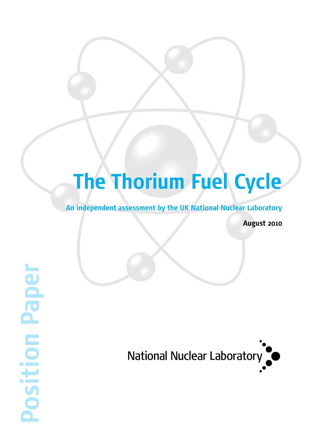## **The Thorium Fuel Cycle**

**An independent assessment by the UK National Nuclear Laboratory**

**August 2010**

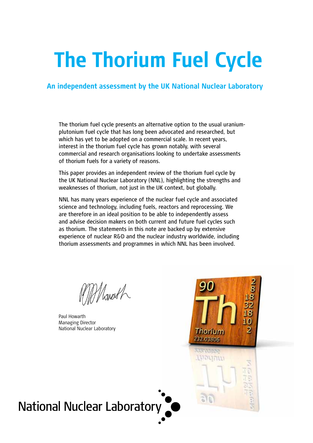# **The Thorium Fuel Cycle**

### **An independent assessment by the UK National Nuclear Laboratory**

The thorium fuel cycle presents an alternative option to the usual uraniumplutonium fuel cycle that has long been advocated and researched, but which has yet to be adopted on a commercial scale. In recent years, interest in the thorium fuel cycle has grown notably, with several commercial and research organisations looking to undertake assessments of thorium fuels for a variety of reasons.

This paper provides an independent review of the thorium fuel cycle by the UK National Nuclear Laboratory (NNL), highlighting the strengths and weaknesses of thorium, not just in the UK context, but globally.

NNL has many years experience of the nuclear fuel cycle and associated science and technology, including fuels, reactors and reprocessing. We are therefore in an ideal position to be able to independently assess and advise decision makers on both current and future fuel cycles such as thorium. The statements in this note are backed up by extensive experience of nuclear R&D and the nuclear industry worldwide, including thorium assessments and programmes in which NNL has been involved.

Monesth

Paul Howarth Managing Director National Nuclear Laboratory



**National Nuclear Laboratory**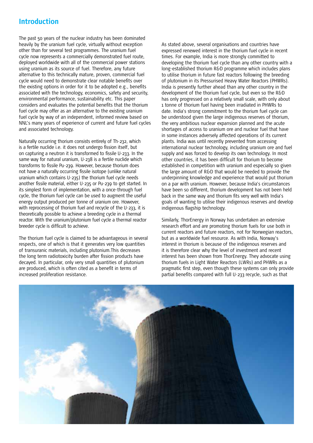## **Introduction**

The past 50 years of the nuclear industry has been dominated heavily by the uranium fuel cycle, virtually without exception other than for several test programmes. The uranium fuel cycle now represents a commercially demonstrated fuel route, deployed worldwide with all of the commercial power stations using uranium as its source of fuel. Therefore, any future alternative to this technically mature, proven, commercial fuel cycle would need to demonstrate clear notable benefits over the existing options in order for it to be adopted e.g., benefits associated with the technology, economics, safety and security, environmental performance, sustainability etc. This paper considers and evaluates the potential benefits that the thorium fuel cycle may offer as an alternative to the existing uranium fuel cycle by way of an independent, informed review based on NNL's many years of experience of current and future fuel cycles and associated technology.

Naturally occurring thorium consists entirely of Th-232, which is a fertile nuclide i.e. it does not undergo fission itself, but on capturing a neutron it is transformed to fissile U-233. In the same way for natural uranium, U-238 is a fertile nuclide which transforms to fissile Pu-239. However, because thorium does not have a naturally occurring fissile isotope (unlike natural uranium which contains U-235) the thorium fuel cycle needs another fissile material, either U-235 or Pu-239 to get started. In its simplest form of implementation, with a once-through fuel cycle, the thorium fuel cycle can be used to augment the useful energy output produced per tonne of uranium ore. However, with reprocessing of thorium fuel and recycle of the U-233, it is theoretically possible to achieve a breeding cycle in a thermal reactor. With the uranium/plutonium fuel cycle a thermal reactor breeder cycle is difficult to achieve.

The thorium fuel cycle is claimed to be advantageous in several respects, one of which is that it generates very low quantities of transuranic materials, including plutonium.This decreases the long term radiotoxicity burden after fission products have decayed. In particular, only very small quantities of plutonium are produced, which is often cited as a benefit in terms of increased proliferation resistance.

As stated above, several organisations and countries have expressed renewed interest in the thorium fuel cycle in recent times. For example, India is more strongly committed to developing the thorium fuel cycle than any other country with a long-established thorium R&D programme which includes plans to utilise thorium in future fast reactors following the breeding of plutonium in its Pressurised Heavy Water Reactors (PHWRs). India is presently further ahead than any other country in the development of the thorium fuel cycle, but even so the R&D has only progressed on a relatively small scale, with only about 1 tonne of thorium fuel having been irradiated in PHWRs to date. India's strong commitment to the thorium fuel cycle can be understood given the large indigenous reserves of thorium, the very ambitious nuclear expansion planned and the acute shortages of access to uranium ore and nuclear fuel that have in some instances adversely affected operations of its current plants. India was until recently prevented from accessing international nuclear technology, including uranium ore and fuel supply and was forced to develop its own technology. In most other countries, it has been difficult for thorium to become established in competition with uranium and especially so given the large amount of R&D that would be needed to provide the underpinning knowledge and experience that would put thorium on a par with uranium. However, because India's circumstances have been so different, thorium development has not been held back in the same way and thorium fits very well with India's goals of wanting to utilise their indigenous reserves and develop indigenous flagship technology.

Similarly, ThorEnergy in Norway has undertaken an extensive research effort and are promoting thorium fuels for use both in current reactors and future reactors, not for Norwegian reactors, but as a worldwide fuel resource. As with India, Norway's interest in thorium is because of the indigenous reserves and it is therefore clear why the level of investment and recent interest has been shown from ThorEnergy. They advocate using thorium fuels in Light Water Reactors (LWRs) and PHWRs as a pragmatic first step, even though these systems can only provide partial benefits compared with full U-233 recycle, such as that

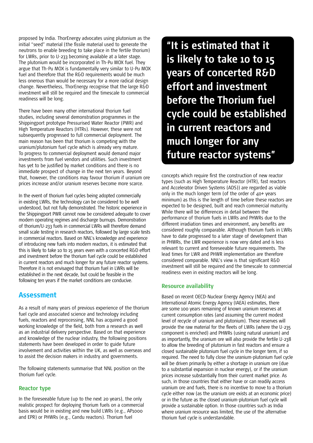proposed by India. ThorEnergy advocates using plutonium as the initial "seed" material (the fissile material used to generate the neutrons to enable breeding to take place in the fertile thorium) for LWRs, prior to U-233 becoming available at a later stage. The plutonium would be incorporated in Th-Pu MOX fuel. They argue that Th-Pu MOX is fundamentally very similar to U-Pu MOX fuel and therefore that the R&D requirements would be much less onerous than would be necessary for a more radical design change. Nevertheless, ThorEnergy recognise that the large R&D investment will still be required and the timescale to commercial readiness will be long.

There have been many other international thorium fuel studies, including several demonstration programmes in the Shippingport prototype Pressurised Water Reactor (PWR) and High Temperature Reactors (HTRs). However, these were not subsequently progressed to full commercial deployment. The main reason has been that thorium is competing with the uranium/plutonium fuel cycle which is already very mature. To progress to commercial deployment would demand major investments from fuel vendors and utilities. Such investment has yet to be justified by market conditions and there is no immediate prospect of change in the next ten years. Beyond that, however, the conditions may favour thorium if uranium ore prices increase and/or uranium reserves become more scarce.

In the event of thorium fuel cycles being adopted commercially in existing LWRs, the technology can be considered to be well understood, but not fully demonstrated. The historic experience in the Shippingport PWR cannot now be considered adequate to cover modern operating regimes and discharge burnups. Demonstration of thorium/U-233 fuels in commercial LWRs will therefore demand small scale testing in research reactors, followed by large scale tests in commercial reactors. Based on NNL's knowledge and experience of introducing new fuels into modern reactors, it is estimated that this is likely to take 10 to 15 years even with a concerted R&D effort and investment before the thorium fuel cycle could be established in current reactors and much longer for any future reactor systems. Therefore it is not envisaged that thorium fuel in LWRs will be established in the next decade, but could be feasible in the following ten years if the market conditions are conducive.

### **Assessment**

As a result of many years of previous experience of the thorium fuel cycle and associated science and technology including fuels, reactors and reprocessing, NNL has acquired a good working knowledge of the field, both from a research as well as an industrial delivery perspective. Based on that experience and knowledge of the nuclear industry, the following positions statements have been developed in order to guide future involvement and activities within the UK, as well as overseas and to assist the decision makers in industry and governments.

The following statements summarise that NNL position on the thorium fuel cycle.

#### **Reactor type**

In the foreseeable future (up to the next 20 years), the only realistic prospect for deploying thorium fuels on a commercial basis would be in existing and new build LWRs (e.g., AP1000 and EPR) or PHWRs (e.g., Candu reactors). Thorium fuel

**"It is estimated that it is likely to take 10 to 15 years of concerted R&D effort and investment before the Thorium fuel cycle could be established in current reactors and much longer for any future reactor systems"**

concepts which require first the construction of new reactor types (such as High Temperature Reactor (HTR), fast reactors and Accelerator Driven Systems (ADS)) are regarded as viable only in the much longer term (of the order of  $\Delta$ 0+ years minimum) as this is the length of time before these reactors are expected to be designed, built and reach commercial maturity. While there will be differences in detail between the performance of thorium fuels in LWRs and PHWRs due to the different irradiation times and environment, any benefits are considered roughly comparable. Although thorium fuels in LWRs have to date progressed to a later stage of development than in PHWRs, the LWR experience is now very dated and is less relevant to current and foreseeable future requirements. The lead times for LWR and PHWR implementation are therefore considered comparable. NNL's view is that significant R&D investment will still be required and the timescale to commercial readiness even in existing reactors will be long.

#### **Resource availability**

Based on recent OECD-Nuclear Energy Agency (NEA) and International Atomic Energy Agency (IAEA) estimates, there are some 100 years remaining of known uranium reserves at current consumption rates (and assuming the current modest level of recycle of uranium and plutonium). These reserves will provide the raw material for the fleets of LWRs (where the U-235 component is enriched) and PHWRs (using natural uranium) and as importantly, the uranium ore will also provide the fertile U-238 to allow the breeding of plutonium in fast reactors and ensure a closed sustainable plutonium fuel cycle in the longer term, if so required. The need to fully close the uranium-plutonium fuel cycle will be driven primarily by either a shortage in uranium ore (due to a substantial expansion in nuclear energy), or if the uranium prices increase substantially from their current market price. As such, in those countries that either have or can readily access uranium ore and fuels, there is no incentive to move to a thorium cycle either now (as the uranium ore exists at an economic price) or in the future as the closed uranium-plutonium fuel cycle will provide a sustainable option. In those countries such as India where uranium resource was limited, the use of the alternative thorium fuel cycle is understandable.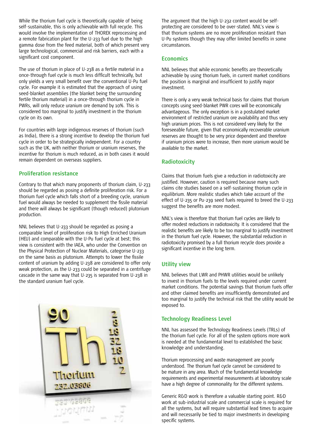While the thorium fuel cycle is theoretically capable of being self-sustainable, this is only achievable with full recycle. This would involve the implementation of THOREX reprocessing and a remote fabrication plant for the U-233 fuel due to the high gamma dose from the feed material, both of which present very large technological, commercial and risk barriers, each with a significant cost component.

The use of thorium in place of U-238 as a fertile material in a once-through fuel cycle is much less difficult technically, but only yields a very small benefit over the conventional U-Pu fuel cycle. For example it is estimated that the approach of using seed-blanket assemblies (the blanket being the surrounding fertile thorium material) in a once-through thorium cycle in PWRs, will only reduce uranium ore demand by 10%. This is considered too marginal to justify investment in the thorium cycle on its own.

For countries with large indigenous reserves of thorium (such as India), there is a strong incentive to develop the thorium fuel cycle in order to be strategically independent. For a country such as the UK, with neither thorium or uranium reserves, the incentive for thorium is much reduced, as in both cases it would remain dependent on overseas suppliers.

#### **Proliferation resistance**

Contrary to that which many proponents of thorium claim, U-233 should be regarded as posing a definite proliferation risk. For a thorium fuel cycle which falls short of a breeding cycle, uranium fuel would always be needed to supplement the fissile material and there will always be significant (though reduced) plutonium production.

NNL believes that U-233 should be regarded as posing a comparable level of proliferation risk to High Enriched Uranium (HEU) and comparable with the U-Pu fuel cycle at best; this view is consistent with the IAEA, who under the Convention on the Physical Protection of Nuclear Materials, categorise U-233 on the same basis as plutonium. Attempts to lower the fissile content of uranium by adding U-238 are considered to offer only weak protection, as the U-233 could be separated in a centrifuge cascade in the same way that U-235 is separated from U-238 in the standard uranium fuel cycle.



The argument that the high U-232 content would be selfprotecting are considered to be over-stated. NNL's view is that thorium systems are no more proliferation resistant than U-Pu systems though they may offer limited benefits in some circumstances.

#### **Economics**

NNL believes that while economic benefits are theoretically achievable by using thorium fuels, in current market conditions the position is marginal and insufficient to justify major investment.

There is only a very weak technical basis for claims that thorium concepts using seed-blanket PWR cores will be economically advantageous. The only exception is in a postulated market environment of restricted uranium ore availability and thus very high uranium prices. This is not considered very likely for the foreseeable future, given that economically recoverable uranium reserves are thought to be very price dependent and therefore if uranium prices were to increase, then more uranium would be available to the market.

#### **Radiotoxicity**

Claims that thorium fuels give a reduction in radiotoxicity are justified. However, caution is required because many such claims cite studies based on a self-sustaining thorium cycle in equilibrium. More realistic studies which take account of the effect of U-235 or Pu-239 seed fuels required to breed the U-233 suggest the benefits are more modest.

NNL's view is therefore that thorium fuel cycles are likely to offer modest reductions in radiotoxicity. It is considered that the realistic benefits are likely to be too marginal to justify investment in the thorium fuel cycle. However, the substantial reduction in radiotoxicity promised by a full thorium recycle does provide a significant incentive in the long term.

#### **Utility view**

NNL believes that LWR and PHWR utilities would be unlikely to invest in thorium fuels to the levels required under current market conditions. The potential savings that thorium fuels offer and other claimed benefits are insufficiently demonstrated and too marginal to justify the technical risk that the utility would be exposed to.

#### **Technology Readiness Level**

NNL has assessed the Technology Readiness Levels (TRLs) of the thorium fuel cycle. For all of the system options more work is needed at the fundamental level to established the basic knowledge and understanding.

Thorium reprocessing and waste management are poorly understood. The thorium fuel cycle cannot be considered to be mature in any area. Much of the fundamental knowledge requirements and experimental measurements at laboratory scale have a high degree of commonality for the different systems.

Generic R&D work is therefore a valuable starting point. R&D work at sub-industrial scale and commercial scale is required for all the systems, but will require substantial lead times to acquire and will necessarily be tied to major investments in developing specific systems.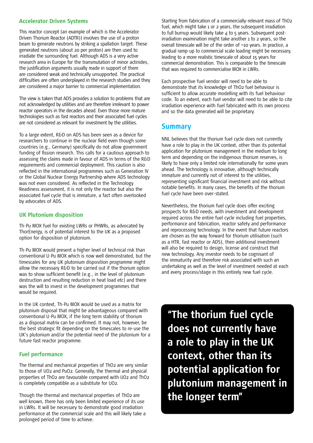#### **Accelerator Driven Systems**

This reactor concept (an example of which is the Accelerator Driven Thorium Reactor (ADTR)) involves the use of a proton beam to generate neutrons by striking a spallation target. These generated neutrons (about 20 per proton) are then used to irradiate the surrounding fuel. Although ADS is a very active research area in Europe for the transmutation of minor actinides, the justification arguments usually made in support of them are considered weak and technically unsupported. The practical difficulties are often underplayed in the research studies and they are considered a major barrier to commercial implementation.

The view is taken that ADS provides a solution to problems that are not acknowledged by utilities and are therefore irrelevant to power reactor operators in the decades ahead. Even those more mature technologies such as fast reactors and their associated fuel cycles are not considered as relevant for investment by the utilities.

To a large extent, R&D on ADS has been seen as a device for researchers to continue in the nuclear field even though some countries (e.g., Germany) specifically do not allow government funding of fission research. This calls for a cautious approach to assessing the claims made in favour of ADS in terms of the R&D requirements and commercial deployment. This caution is also reflected in the international programmes such as Generation IV or the Global Nuclear Energy Partnership where ADS technology was not even considered. As reflected in the Technology Readiness assessment, it is not only the reactor but also the associated fuel cycle that is immature, a fact often overlooked by advocates of ADS.

#### **UK Plutonium disposition**

Th-Pu MOX fuel for existing LWRs or PHWRs, as advocated by ThorEnergy, is of potential interest to the UK as a proposed option for disposition of plutonium.

Th-Pu MOX would present a higher level of technical risk than conventional U-Pu MOX which is now well demonstrated, but the timescales for any UK plutonium disposition programme might allow the necessary R&D to be carried out if the thorium option was to show sufficient benefit (e.g., in the level of plutonium destruction and resulting reduction in heat load etc) and there was the will to invest in the development programmes that would be required.

In the UK context, Th-Pu MOX would be used as a matrix for plutonium disposal that might be advantageous compared with conventional U-Pu MOX, if the long term stability of thorium as a disposal matrix can be confirmed. It may not, however, be the best strategic fit depending on the timescales to re-use the UK's plutonium and/or the potential need of the plutonium for a future fast reactor programme.

#### **Fuel performance**

The thermal and mechanical properties of ThO2 are very similar to those of UO2 and PuO2. Generally, the thermal and physical properties of ThO2 are favourable compared with UO2 and ThO2 is completely compatible as a substitute for UO2.

Though the thermal and mechanical properties of ThO2 are well known, there has only been limited experience of its use in LWRs. It will be necessary to demonstrate good irradiation performance at the commercial scale and this will likely take a prolonged period of time to achieve.

Starting from fabrication of a commercially-relevant mass of ThO2 fuel, which might take 1 or 2 years, the subsequent irradiation to full burnup would likely take 4 to 5 years. Subsequent postirradiation examination might take another 1 to 2 years, so the overall timescale will be of the order of ~10 years. In practice, a gradual ramp-up to commercial scale loading might be necessary, leading to a more realistic timescale of about 15 years for commercial demonstration. This is comparable to the timescale that was required to commercialise MOX in LWRs.

Each prospective fuel vendor will need to be able to demonstrate that its knowledge of ThO2 fuel behaviour is sufficient to allow accurate modelling with its fuel behaviour code. To an extent, each fuel vendor will need to be able to cite irradiation experience with fuel fabricated with its own process and so the data generated will be proprietary.

## **Summary**

NNL believes that the thorium fuel cycle does not currently have a role to play in the UK context, other than its potential application for plutonium management in the medium to long term and depending on the indigenous thorium reserves, is likely to have only a limited role internationally for some years ahead. The technology is innovative, although technically immature and currently not of interest to the utilities, representing significant financial investment and risk without notable benefits. In many cases, the benefits of the thorium fuel cycle have been over-stated.

Nevertheless, the thorium fuel cycle does offer exciting prospects for R&D needs, with investment and development required across the entire fuel cycle including fuel properties, performance and fabrication, reactor safety and performance and reprocessing technology. In the event that future reactors are chosen as the way forward for thorium utilisation (such as a HTR, fast reactor or ADS), then additional investment will also be required to design, license and construct that new technology. Any investor needs to be cognisant of the immaturity and therefore risk associated with such an undertaking as well as the level of investment needed at each and every process/stage in this entirely new fuel cycle.

**"The thorium fuel cycle does not currently have a role to play in the UK context, other than its potential application for plutonium management in the longer term"**